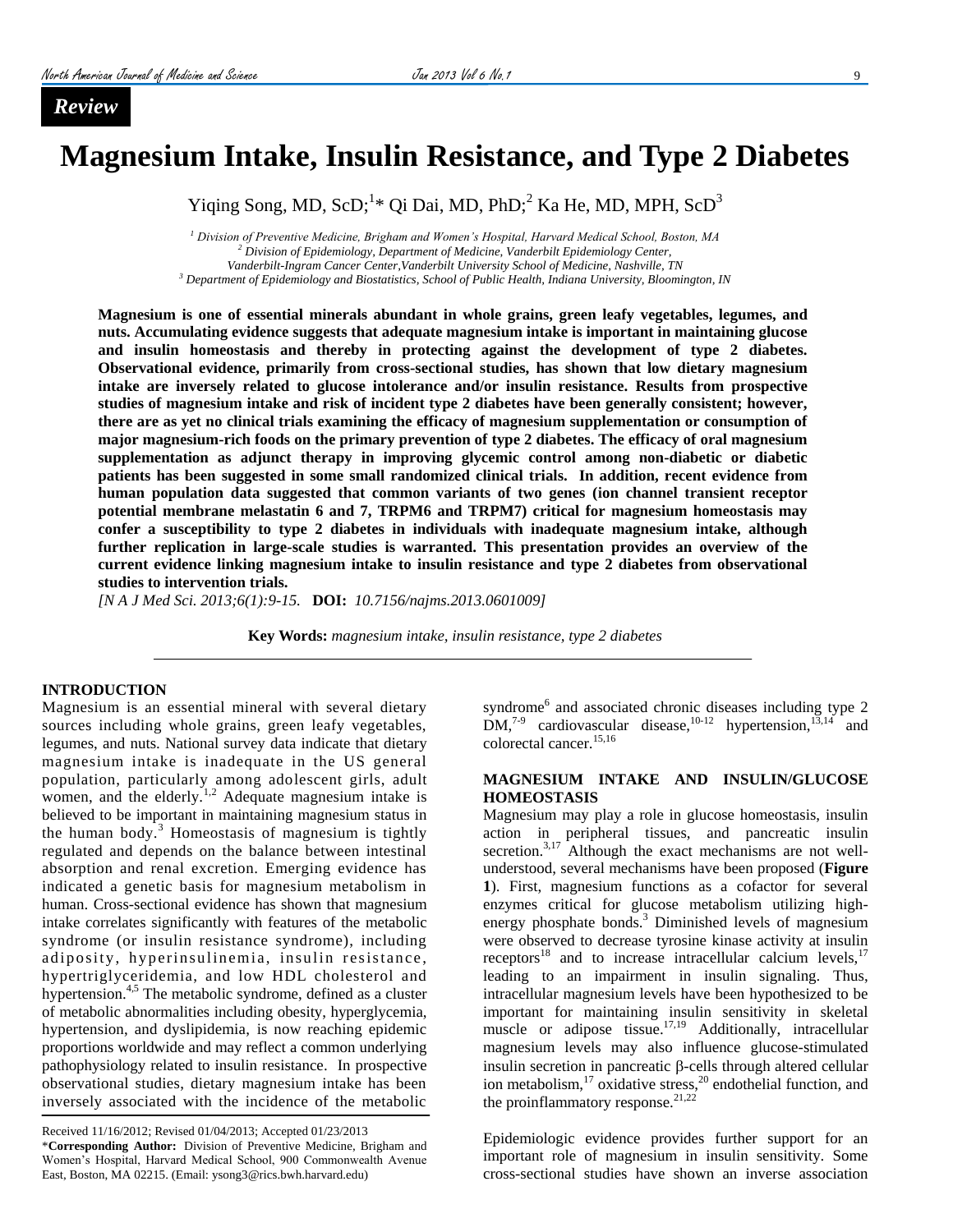*Review*

# **Magnesium Intake, Insulin Resistance, and Type 2 Diabetes**

Yiqing Song, MD, ScD;<sup>1</sup>\* Qi Dai, MD, PhD;<sup>2</sup> Ka He, MD, MPH, ScD<sup>3</sup>

 *Division of Preventive Medicine, Brigham and Women's Hospital, Harvard Medical School, Boston, MA Division of Epidemiology, Department of Medicine, Vanderbilt Epidemiology Center, Vanderbilt-Ingram Cancer Center,Vanderbilt University School of Medicine, Nashville, TN Department of Epidemiology and Biostatistics, School of Public Health, Indiana University, Bloomington, IN*

**Magnesium is one of essential minerals abundant in whole grains, green leafy vegetables, legumes, and nuts. Accumulating evidence suggests that adequate magnesium intake is important in maintaining glucose and insulin homeostasis and thereby in protecting against the development of type 2 diabetes. Observational evidence, primarily from cross-sectional studies, has shown that low dietary magnesium intake are inversely related to glucose intolerance and/or insulin resistance. Results from prospective studies of magnesium intake and risk of incident type 2 diabetes have been generally consistent; however, there are as yet no clinical trials examining the efficacy of magnesium supplementation or consumption of major magnesium-rich foods on the primary prevention of type 2 diabetes. The efficacy of oral magnesium supplementation as adjunct therapy in improving glycemic control among non-diabetic or diabetic patients has been suggested in some small randomized clinical trials. In addition, recent evidence from human population data suggested that common variants of two genes (ion channel transient receptor potential membrane melastatin 6 and 7, TRPM6 and TRPM7) critical for magnesium homeostasis may confer a susceptibility to type 2 diabetes in individuals with inadequate magnesium intake, although further replication in large-scale studies is warranted. This presentation provides an overview of the current evidence linking magnesium intake to insulin resistance and type 2 diabetes from observational studies to intervention trials.** 

*[N A J Med Sci. 2013;6(1):9-15.* **DOI:** *10.7156/najms.2013.0601009]*

**Key Words:** *magnesium intake, insulin resistance, type 2 diabetes*

#### **INTRODUCTION**

Magnesium is an essential mineral with several dietary sources including whole grains, green leafy vegetables, legumes, and nuts. National survey data indicate that dietary magnesium intake is inadequate in the US general population, particularly among adolescent girls, adult women, and the elderly.<sup>[1,](#page-5-0)[2](#page-5-1)</sup> Adequate magnesium intake is believed to be important in maintaining magnesium status in the human body[.](#page-5-2) $3$  Homeostasis of magnesium is tightly regulated and depends on the balance between intestinal absorption and renal excretion. Emerging evidence has indicated a genetic basis for magnesium metabolism in human. Cross-sectional evidence has shown that magnesium intake correlates significantly with features of the metabolic syndrome (or insulin resistance syndrome), including adiposity, hyperinsulinemia, insulin resistance, hypertriglyceridemia, and low HDL cholesterol and hypertension.<sup>[4,](#page-5-3)[5](#page-5-4)</sup> The metabolic syndrome, defined as a cluster of metabolic abnormalities including obesity, hyperglycemia, hypertension, and dyslipidemia, is now reaching epidemic proportions worldwide and may reflect a common underlying pathophysiology related to insulin resistance. In prospective observational studies, dietary magnesium intake has been inversely associated with the incidence of the metabolic

Received 11/16/2012; Revised 01/04/2013; Accepted 01/23/2013 \***Corresponding Author:** Division of Preventive Medicine, Brigham and Women's Hospital, Harvard Medical School, 900 Commonwealth Avenue East, Boston, MA 02215. (Email: ysong3@rics.bwh.harvard.edu)

syndrom[e](#page-5-5)<sup>6</sup> and associated chronic diseases including type 2  $DM<sub>1</sub><sup>7-9</sup>$  $DM<sub>1</sub><sup>7-9</sup>$  $DM<sub>1</sub><sup>7-9</sup>$  cardiovascular disease,  $10-12$  hypertension,  $13,14$  $13,14$  and colorectal cancer.<sup>[15,](#page-5-10)[16](#page-5-11)</sup>

#### **MAGNESIUM INTAKE AND INSULIN/GLUCOSE HOMEOSTASIS**

Magnesium may play a role in glucose homeostasis, insulin action in peripheral tissues, and pancreatic insulin secretion.<sup>[3,](#page-5-2)[17](#page-5-12)</sup> Although the exact mechanisms are not wellunderstood, several mechanisms have been proposed (**Figure 1**). First, magnesium functions as a cofactor for several enzymes critical for glucose metabolism utilizing high-energy phosphate bonds[.](#page-5-2)<sup>3</sup> Diminished levels of magnesium were observed to decrease tyrosine kinase activity at insulin receptors<sup>[18](#page-5-13)</sup> and to increase intracellular calcium levels, $17$ leading to an impairment in insulin signaling. Thus, intracellular magnesium levels have been hypothesized to be important for maintaining insulin sensitivity in skeletal muscle or adipose tissue.<sup>[17,](#page-5-12)[19](#page-5-14)</sup> Additionally, intracellular magnesium levels may also influence glucose-stimulated insulin secretion in pancreatic  $\beta$ -cells through altered cellular ion metabolism,<sup>[17](#page-5-12)</sup> oxidative stress,<sup>[20](#page-5-15)</sup> endothelial function, and the proinflammatory response. $21,22$  $21,22$ 

Epidemiologic evidence provides further support for an important role of magnesium in insulin sensitivity. Some cross-sectional studies have shown an inverse association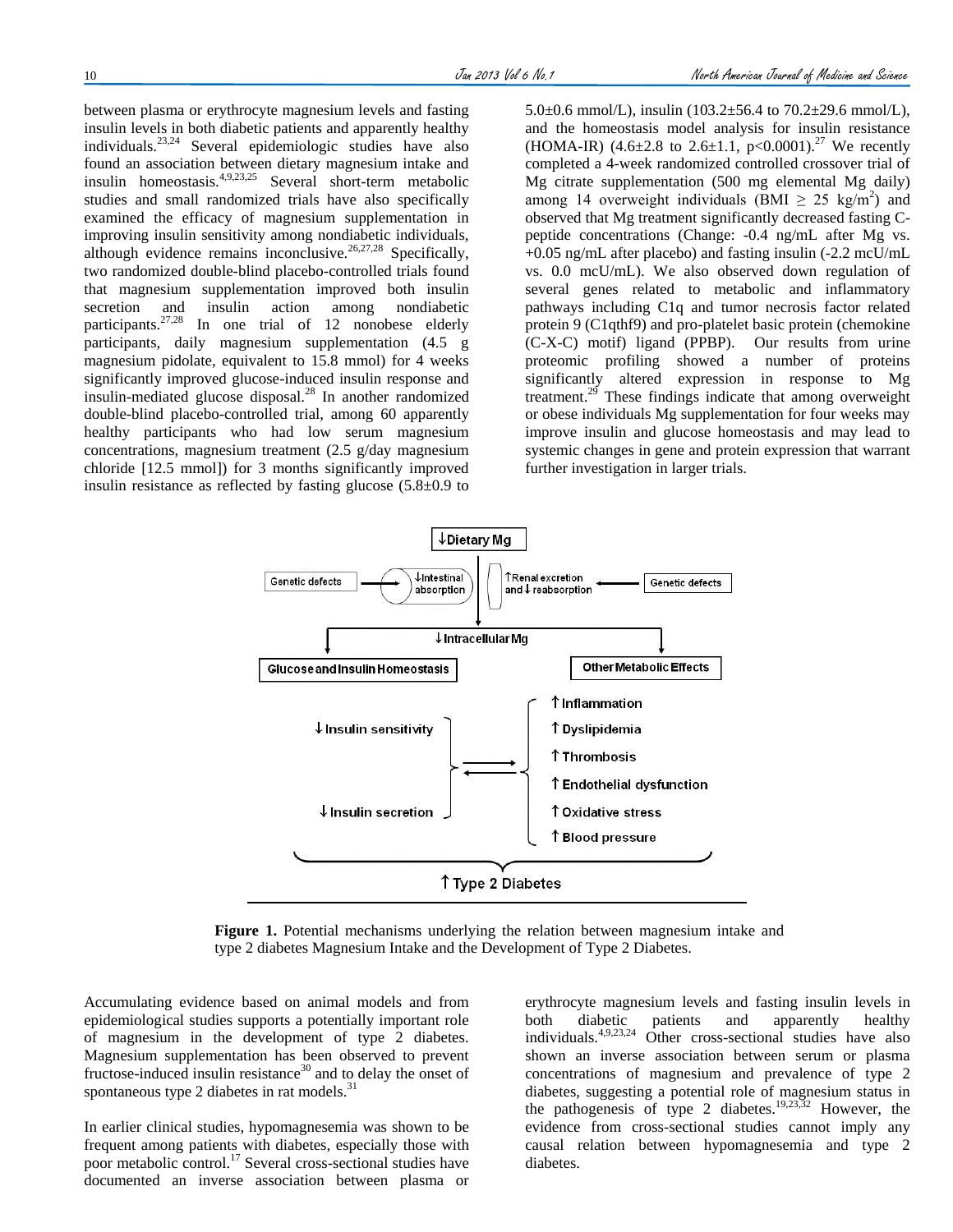between plasma or erythrocyte magnesium levels and fasting insulin levels in both diabetic patients and apparently healthy individuals.[23,](#page-5-18)[24](#page-5-19) Several epidemiologic studies have also found an association between dietary magnesium intake and insulin homeostasis.<sup>[4,](#page-5-3)[9,](#page-5-20)[23,](#page-5-18)[25](#page-5-21)</sup> Several short-term metabolic studies and small randomized trials have also specifically examined the efficacy of magnesium supplementation in improving insulin sensitivity among nondiabetic individuals, although evidence remains inconclusive.<sup>[26,](#page-5-22)[27,](#page-5-23)[28](#page-5-24)</sup> Specifically, two randomized double-blind placebo-controlled trials found that magnesium supplementation improved both insulin secretion and insulin action among nondiabetic participants.<sup>[27,](#page-5-23)[28](#page-5-24)</sup> In one trial of 12 nonobese elderly participants, daily magnesium supplementation (4.5 g magnesium pidolate, equivalent to 15.8 mmol) for 4 weeks significantly improved glucose-induced insulin response and insulin-mediated glucose disposal.[28](#page-5-24) In another randomized double-blind placebo-controlled trial, among 60 apparently healthy participants who had low serum magnesium concentrations, magnesium treatment (2.5 g/day magnesium chloride [12.5 mmol]) for 3 months significantly improved insulin resistance as reflected by fasting glucose  $(5.8 \pm 0.9)$  to 5.0 $\pm$ 0.6 mmol/L), insulin (103.2 $\pm$ 56.4 to 70.2 $\pm$ 29.6 mmol/L), and the homeostasis model analysis for insulin resistance (HOMA-IR) (4.6 $\pm$ 2.8 to 2.6 $\pm$ 1.1, p<0.0001).<sup>[27](#page-5-23)</sup> We recently completed a 4-week randomized controlled crossover trial of Mg citrate supplementation (500 mg elemental Mg daily) among 14 overweight individuals (BMI  $\geq$  25 kg/m<sup>2</sup>) and observed that Mg treatment significantly decreased fasting Cpeptide concentrations (Change: -0.4 ng/mL after Mg vs. +0.05 ng/mL after placebo) and fasting insulin (-2.2 mcU/mL vs. 0.0 mcU/mL). We also observed down regulation of several genes related to metabolic and inflammatory pathways including C1q and tumor necrosis factor related protein 9 (C1qthf9) and pro-platelet basic protein (chemokine (C-X-C) motif) ligand (PPBP). Our results from urine proteomic profiling showed a number of proteins significantly altered expression in response to Mg treatment.[29](#page-5-25) These findings indicate that among overweight or obese individuals Mg supplementation for four weeks may improve insulin and glucose homeostasis and may lead to systemic changes in gene and protein expression that warrant further investigation in larger trials.



**Figure 1.** Potential mechanisms underlying the relation between magnesium intake and type 2 diabetes Magnesium Intake and the Development of Type 2 Diabetes.

Accumulating evidence based on animal models and from epidemiological studies supports a potentially important role of magnesium in the development of type 2 diabetes. Magnesium supplementation has been observed to prevent fructose-induced insulin resistance $30$  and to delay the onset of spontaneous type 2 diabetes in rat models.<sup>[31](#page-5-27)</sup>

In earlier clinical studies, hypomagnesemia was shown to be frequent among patients with diabetes, especially those with poor metabolic control.[17](#page-5-12) Several cross-sectional studies have documented an inverse association between plasma or

erythrocyte magnesium levels and fasting insulin levels in both diabetic patients and apparently healthy individuals.[4,](#page-5-3)[9,](#page-5-20)[23,](#page-5-18)[24](#page-5-19) Other cross-sectional studies have also shown an inverse association between serum or plasma concentrations of magnesium and prevalence of type 2 diabetes, suggesting a potential role of magnesium status in the pathogenesis of type 2 diabetes.<sup>[19,](#page-5-14)[23,](#page-5-18)[32](#page-5-28)</sup> However, the evidence from cross-sectional studies cannot imply any causal relation between hypomagnesemia and type 2 diabetes.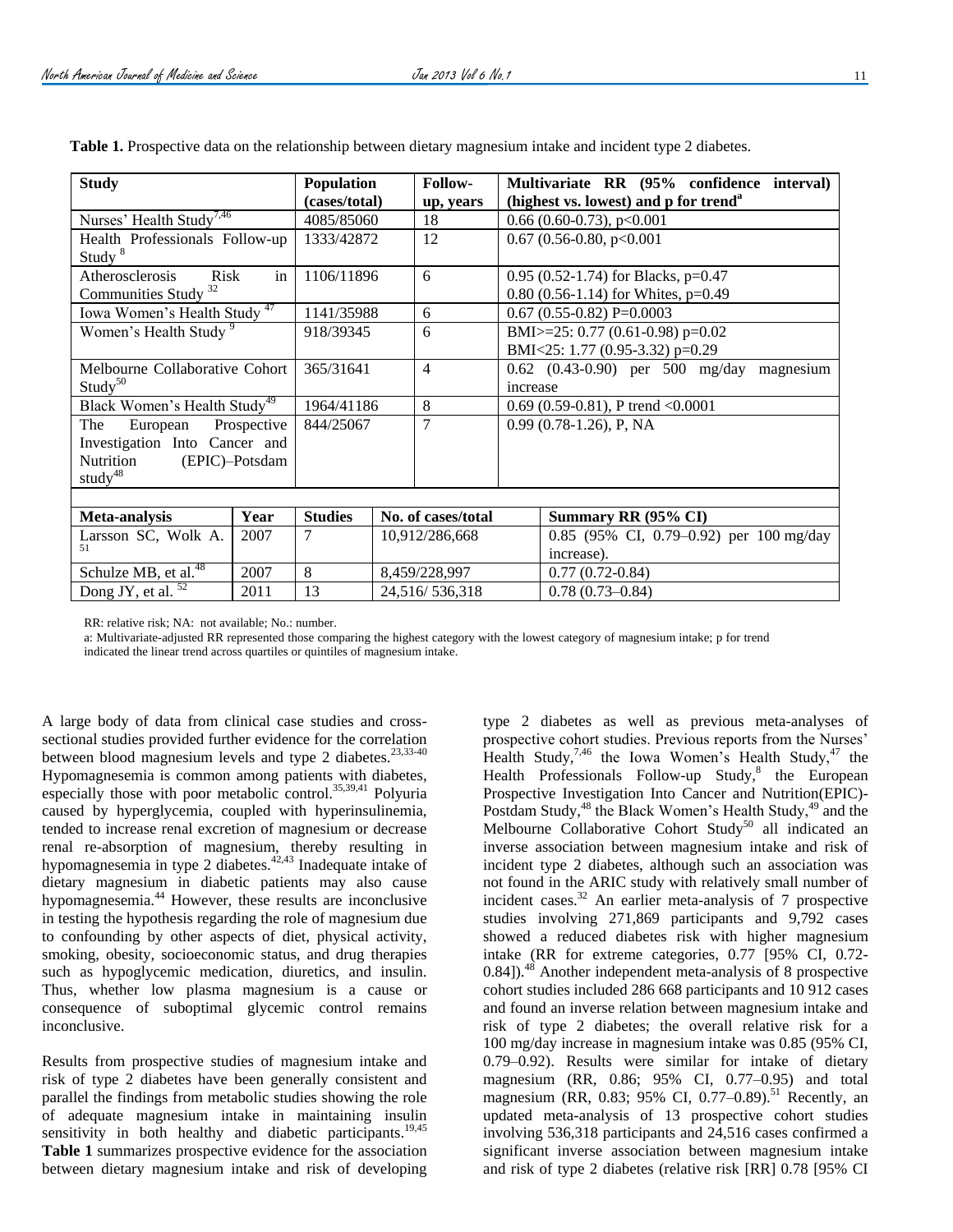| <b>Study</b>                                         |      | Population<br>(cases/total) |                    | Follow-<br>up, years |                                                  | Multivariate RR (95% confidence interval)<br>(highest vs. lowest) and p for trend <sup>a</sup> |  |
|------------------------------------------------------|------|-----------------------------|--------------------|----------------------|--------------------------------------------------|------------------------------------------------------------------------------------------------|--|
| Nurses' Health Study <sup>7,46</sup>                 |      | 4085/85060                  |                    | 18                   |                                                  | $0.66$ (0.60-0.73), p<0.001                                                                    |  |
| Health Professionals Follow-up<br>Study <sup>8</sup> |      | 1333/42872                  |                    | 12                   | $0.67$ (0.56-0.80, p<0.001                       |                                                                                                |  |
| in<br>Atherosclerosis<br><b>Risk</b>                 |      | 1106/11896                  |                    | 6                    | 0.95 (0.52-1.74) for Blacks, $p=0.47$            |                                                                                                |  |
| 32<br><b>Communities Study</b>                       |      |                             |                    |                      | $0.80$ (0.56-1.14) for Whites, p=0.49            |                                                                                                |  |
| Iowa Women's Health Study <sup>47</sup>              |      | 1141/35988                  |                    | 6                    |                                                  | $0.67$ (0.55-0.82) P=0.0003                                                                    |  |
| Women's Health Study <sup>9</sup>                    |      | 918/39345                   |                    | 6                    | BMI>=25: 0.77 (0.61-0.98) p=0.02                 |                                                                                                |  |
|                                                      |      |                             |                    |                      | BMI<25: 1.77 (0.95-3.32) p=0.29                  |                                                                                                |  |
| Melbourne Collaborative Cohort                       |      | 365/31641                   |                    | $\overline{4}$       | $0.62$ $(0.43-0.90)$ per 500 mg/day<br>magnesium |                                                                                                |  |
| Study <sup>50</sup>                                  |      |                             |                    |                      | increase                                         |                                                                                                |  |
| Black Women's Health Study <sup>49</sup>             |      | 1964/41186                  |                    | 8                    | $0.69$ (0.59-0.81), P trend < 0.0001             |                                                                                                |  |
| European<br>Prospective<br>The                       |      | 844/25067                   |                    | $\overline{7}$       | $0.99(0.78-1.26)$ , P, NA                        |                                                                                                |  |
| Investigation Into Cancer and                        |      |                             |                    |                      |                                                  |                                                                                                |  |
| Nutrition<br>(EPIC)-Potsdam                          |      |                             |                    |                      |                                                  |                                                                                                |  |
| study <sup>48</sup>                                  |      |                             |                    |                      |                                                  |                                                                                                |  |
|                                                      |      |                             |                    |                      |                                                  |                                                                                                |  |
| Meta-analysis                                        | Year | <b>Studies</b>              | No. of cases/total |                      |                                                  | Summary RR (95% CI)                                                                            |  |
| Larsson SC, Wolk A.                                  | 2007 | 7                           | 10,912/286,668     |                      |                                                  | 0.85 (95% CI, 0.79–0.92) per 100 mg/day                                                        |  |
| 51                                                   |      |                             |                    |                      |                                                  | increase).                                                                                     |  |
| Schulze MB, et al. <sup>48</sup>                     | 2007 | 8                           |                    | 8,459/228,997        |                                                  | $0.77(0.72-0.84)$                                                                              |  |
| Dong JY, et al.<br>2011                              |      | 13<br>24,516/536,318        |                    | $0.78(0.73 - 0.84)$  |                                                  |                                                                                                |  |

**Table 1.** Prospective data on the relationship between dietary magnesium intake and incident type 2 diabetes.

RR: relative risk; NA: not available; No.: number.

a: Multivariate-adjusted RR represented those comparing the highest category with the lowest category of magnesium intake; p for trend indicated the linear trend across quartiles or quintiles of magnesium intake.

A large body of data from clinical case studies and crosssectional studies provided further evidence for the correlation between blood magnesium levels and type 2 diabetes.<sup>[23,](#page-5-18)[33-40](#page-5-32)</sup> Hypomagnesemia is common among patients with diabetes, especially those with poor metabolic control.<sup>[35,](#page-5-33)[39,](#page-5-34)[41](#page-5-35)</sup> Polyuria caused by hyperglycemia, coupled with hyperinsulinemia, tended to increase renal excretion of magnesium or decrease renal re-absorption of magnesium, thereby resulting in hypomagnesemia in type 2 diabetes.<sup>[42,](#page-5-36)[43](#page-5-37)</sup> Inadequate intake of dietary magnesium in diabetic patients may also cause hypomagnesemia.[44](#page-5-38) However, these results are inconclusive in testing the hypothesis regarding the role of magnesium due to confounding by other aspects of diet, physical activity, smoking, obesity, socioeconomic status, and drug therapies such as hypoglycemic medication, diuretics, and insulin. Thus, whether low plasma magnesium is a cause or consequence of suboptimal glycemic control remains inconclusive.

Results from prospective studies of magnesium intake and risk of type 2 diabetes have been generally consistent and parallel the findings from metabolic studies showing the role of adequate magnesium intake in maintaining insulin sensitivity in both healthy and diabetic participants.<sup>[19,](#page-5-14)[45](#page-5-39)</sup> **Table 1** summarizes prospective evidence for the association between dietary magnesium intake and risk of developing

type 2 diabetes as well as previous meta-analyses of prospective cohort studies. Previous reports from the Nurses' Health Study,<sup>[7,](#page-5-6)[46](#page-5-29)</sup> the Iowa Women's Health Study,<sup>[47](#page-5-31)</sup> the Health Professionals Follow-up Stud[y,](#page-5-30)<sup>8</sup> the European Prospective Investigation Into Cancer and Nutrition(EPIC)- Postdam Study,<sup>[48](#page-6-2)</sup> the Black Women's Health Study,<sup>[49](#page-6-1)</sup> and the Melbourne Collaborative Cohort Study<sup>[50](#page-6-0)</sup> all indicated an inverse association between magnesium intake and risk of incident type 2 diabetes, although such an association was not found in the ARIC study with relatively small number of incident cases.[32](#page-5-28) An earlier meta-analysis of 7 prospective studies involving 271,869 participants and 9,792 cases showed a reduced diabetes risk with higher magnesium intake (RR for extreme categories, 0.77 [95% CI, 0.72- 0.84]).<sup>[48](#page-6-2)</sup> Another independent meta-analysis of 8 prospective cohort studies included 286 668 participants and 10 912 cases and found an inverse relation between magnesium intake and risk of type 2 diabetes; the overall relative risk for a 100 mg/day increase in magnesium intake was 0.85 (95% CI, 0.79–0.92). Results were similar for intake of dietary magnesium (RR, 0.86; 95% CI, 0.77–0.95) and total magnesium (RR, 0.83; 95% CI, 0.77–0.89).<sup>[51](#page-6-3)</sup> Recently, an updated meta-analysis of 13 prospective cohort studies involving 536,318 participants and 24,516 cases confirmed a significant inverse association between magnesium intake and risk of type 2 diabetes (relative risk [RR] 0.78 [95% CI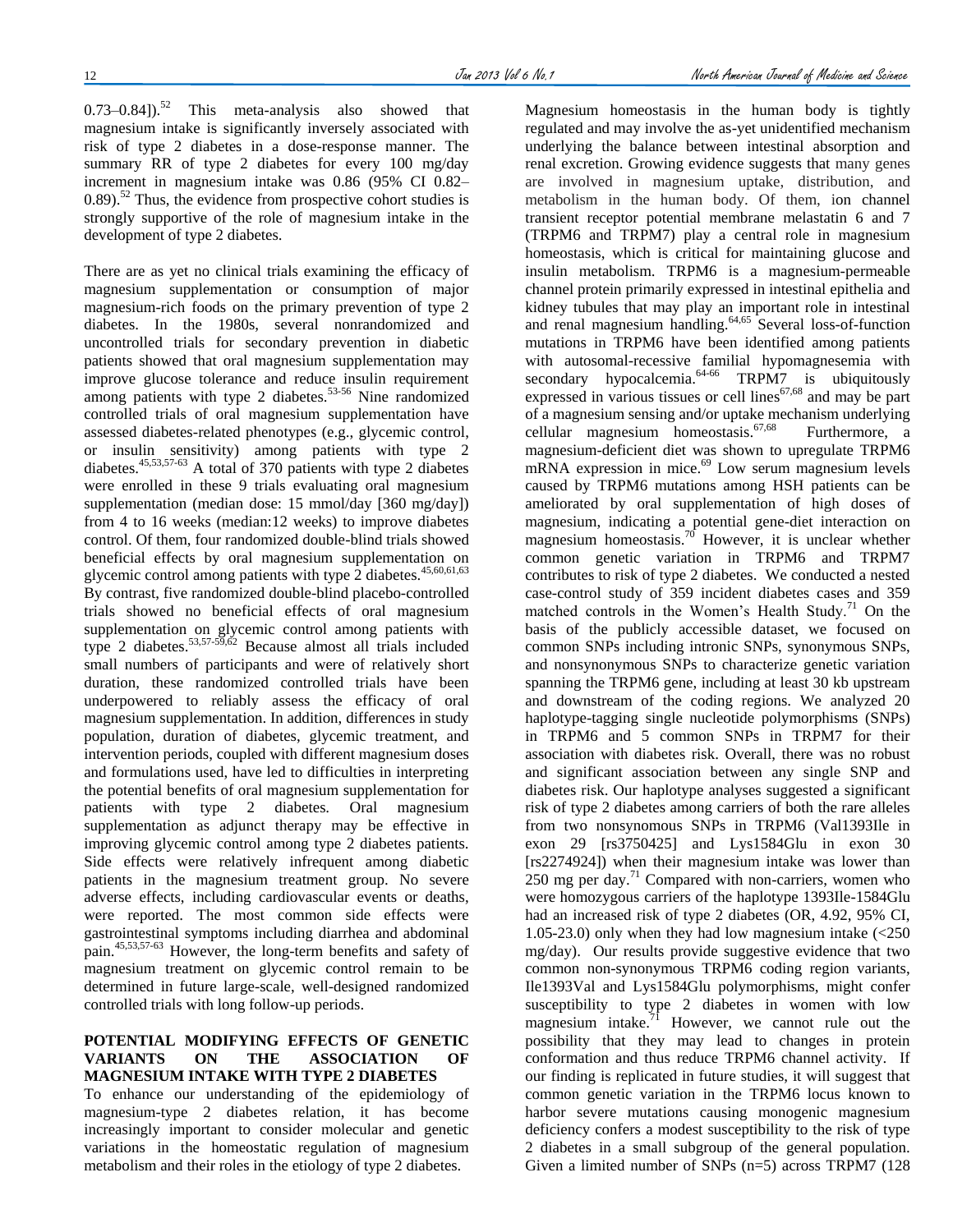$(0.73-0.84)$ .<sup>[52](#page-6-4)</sup> This meta-analysis also showed that magnesium intake is significantly inversely associated with risk of type 2 diabetes in a dose-response manner. The summary RR of type 2 diabetes for every 100 mg/day increment in magnesium intake was 0.86 (95% CI 0.82–  $0.89$ .<sup>[52](#page-6-4)</sup> Thus, the evidence from prospective cohort studies is strongly supportive of the role of magnesium intake in the development of type 2 diabetes.

There are as yet no clinical trials examining the efficacy of magnesium supplementation or consumption of major magnesium-rich foods on the primary prevention of type 2 diabetes. In the 1980s, several nonrandomized and uncontrolled trials for secondary prevention in diabetic patients showed that oral magnesium supplementation may improve glucose tolerance and reduce insulin requirement among patients with type 2 diabetes. $53-56$  Nine randomized controlled trials of oral magnesium supplementation have assessed diabetes-related phenotypes (e.g., glycemic control, or insulin sensitivity) among patients with type 2 diabetes.<sup>[45,](#page-5-39)[53,](#page-6-5)[57-63](#page-6-6)</sup> A total of 370 patients with type 2 diabetes were enrolled in these 9 trials evaluating oral magnesium supplementation (median dose: 15 mmol/day [360 mg/day]) from 4 to 16 weeks (median:12 weeks) to improve diabetes control. Of them, four randomized double-blind trials showed beneficial effects by oral magnesium supplementation on glycemic control among patients with type  $2$  diabetes.<sup>[45,](#page-5-39)[60,](#page-6-7)[61,](#page-6-8)[63](#page-6-9)</sup> By contrast, five randomized double-blind placebo-controlled trials showed no beneficial effects of oral magnesium supplementation on glycemic control among patients with type 2 diabetes.<sup>[53,](#page-6-5)[57-59,](#page-6-6)[62](#page-6-10)</sup> Because almost all trials included small numbers of participants and were of relatively short duration, these randomized controlled trials have been underpowered to reliably assess the efficacy of oral magnesium supplementation. In addition, differences in study population, duration of diabetes, glycemic treatment, and intervention periods, coupled with different magnesium doses and formulations used, have led to difficulties in interpreting the potential benefits of oral magnesium supplementation for patients with type 2 diabetes. Oral magnesium supplementation as adjunct therapy may be effective in improving glycemic control among type 2 diabetes patients. Side effects were relatively infrequent among diabetic patients in the magnesium treatment group. No severe adverse effects, including cardiovascular events or deaths, were reported. The most common side effects were gastrointestinal symptoms including diarrhea and abdominal pain.[45,](#page-5-39)[53,](#page-6-5)[57-63](#page-6-6) However, the long-term benefits and safety of magnesium treatment on glycemic control remain to be determined in future large-scale, well-designed randomized controlled trials with long follow-up periods.

### **POTENTIAL MODIFYING EFFECTS OF GENETIC VARIANTS ON THE ASSOCIATION OF MAGNESIUM INTAKE WITH TYPE 2 DIABETES**

To enhance our understanding of the epidemiology of magnesium-type 2 diabetes relation, it has become increasingly important to consider molecular and genetic variations in the homeostatic regulation of magnesium metabolism and their roles in the etiology of type 2 diabetes.

Magnesium homeostasis in the human body is tightly regulated and may involve the as-yet unidentified mechanism underlying the balance between intestinal absorption and renal excretion. Growing evidence suggests that many genes are involved in magnesium uptake, distribution, and metabolism in the human body. Of them, ion channel transient receptor potential membrane melastatin 6 and 7 (TRPM6 and TRPM7) play a central role in magnesium homeostasis, which is critical for maintaining glucose and insulin metabolism. TRPM6 is a magnesium-permeable channel protein primarily expressed in intestinal epithelia and kidney tubules that may play an important role in intestinal and renal magnesium handling.<sup>[64,](#page-6-11)[65](#page-6-12)</sup> Several loss-of-function mutations in TRPM6 have been identified among patients with autosomal-recessive familial hypomagnesemia with  $secondary$  hypocalcemia.<sup>[64-66](#page-6-11)</sup> TRPM7 is ubiquitously expressed in various tissues or cell lines [67,](#page-6-13)[68](#page-6-14) and may be part of a magnesium sensing and/or uptake mechanism underlying cellular magnesium homeostasis.<sup>[67,](#page-6-13)[68](#page-6-14)</sup> Furthermore, a magnesium-deficient diet was shown to upregulate TRPM6  $mRNA$  expression in mice.<sup>[69](#page-6-15)</sup> Low serum magnesium levels caused by TRPM6 mutations among HSH patients can be ameliorated by oral supplementation of high doses of magnesium, indicating a potential gene-diet interaction on magnesium homeostasis.<sup>[70](#page-6-16)</sup> However, it is unclear whether common genetic variation in TRPM6 and TRPM7 contributes to risk of type 2 diabetes. We conducted a nested case-control study of 359 incident diabetes cases and 359 matched controls in the Women's Health Study.<sup>[71](#page-6-17)</sup> On the basis of the publicly accessible dataset, we focused on common SNPs including intronic SNPs, synonymous SNPs, and nonsynonymous SNPs to characterize genetic variation spanning the TRPM6 gene, including at least 30 kb upstream and downstream of the coding regions. We analyzed 20 haplotype-tagging single nucleotide polymorphisms (SNPs) in TRPM6 and 5 common SNPs in TRPM7 for their association with diabetes risk. Overall, there was no robust and significant association between any single SNP and diabetes risk. Our haplotype analyses suggested a significant risk of type 2 diabetes among carriers of both the rare alleles from two nonsynomous SNPs in TRPM6 (Val1393Ile in exon 29 [rs3750425] and Lys1584Glu in exon 30 [rs2274924]) when their magnesium intake was lower than  $250$  mg per day.<sup>[71](#page-6-17)</sup> Compared with non-carriers, women who were homozygous carriers of the haplotype 1393Ile-1584Glu had an increased risk of type 2 diabetes (OR, 4.92, 95% CI, 1.05-23.0) only when they had low magnesium intake (<250 mg/day). Our results provide suggestive evidence that two common non-synonymous TRPM6 coding region variants, Ile1393Val and Lys1584Glu polymorphisms, might confer susceptibility to type 2 diabetes in women with low magnesium intake. $1\text{}$  However, we cannot rule out the possibility that they may lead to changes in protein conformation and thus reduce TRPM6 channel activity. If our finding is replicated in future studies, it will suggest that common genetic variation in the TRPM6 locus known to harbor severe mutations causing monogenic magnesium deficiency confers a modest susceptibility to the risk of type 2 diabetes in a small subgroup of the general population. Given a limited number of SNPs (n=5) across TRPM7 (128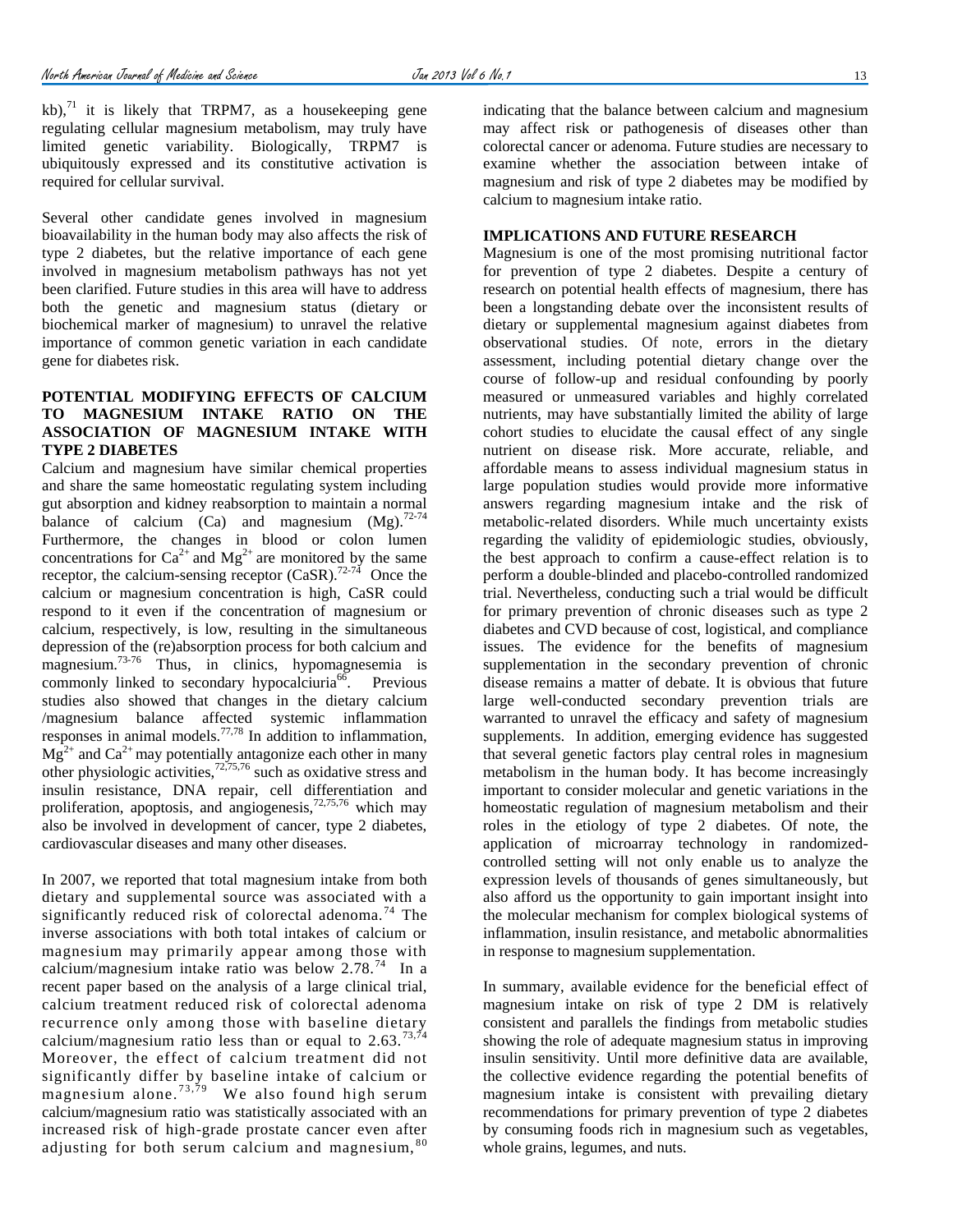kb), $^{71}$  $^{71}$  $^{71}$  it is likely that TRPM7, as a house keeping gene regulating cellular magnesium metabolism, may truly have limited genetic variability. Biologically, TRPM7 is ubiquitously expressed and its constitutive activation is required for cellular survival.

Several other candidate genes involved in magnesium bioavailability in the human body may also affects the risk of type 2 diabetes, but the relative importance of each gene involved in magnesium metabolism pathways has not yet been clarified. Future studies in this area will have to address both the genetic and magnesium status (dietary or biochemical marker of magnesium) to unravel the relative importance of common genetic variation in each candidate gene for diabetes risk.

## **POTENTIAL MODIFYING EFFECTS OF CALCIUM TO MAGNESIUM INTAKE RATIO ON THE ASSOCIATION OF MAGNESIUM INTAKE WITH TYPE 2 DIABETES**

Calcium and magnesium have similar chemical properties and share the same homeostatic regulating system including gut absorption and kidney reabsorption to maintain a normal balance of calcium (Ca) and magnesium  $(Mg)$ .<sup>[72-74](#page-6-18)</sup> Furthermore, the changes in blood or colon lumen concentrations for  $Ca^{2+}$  and  $Mg^{2+}$  are monitored by the same receptor, the calcium-sensing receptor  $(CaSR)$ .<sup>[72-74](#page-6-18)</sup> Once the calcium or magnesium concentration is high, CaSR could respond to it even if the concentration of magnesium or calcium, respectively, is low, resulting in the simultaneous depression of the (re)absorption process for both calcium and magnesium.[73-76](#page-6-19) Thus, in clinics, hypomagnesemia is commonly linked to secondary hypocalciuria<sup>[66](#page-6-20)</sup>. Previous studies also showed that changes in the dietary calcium /magnesium balance affected systemic inflammation responses in animal models.[77,](#page-6-21)[78](#page-6-22) In addition to inflammation,  $Mg^{2+}$  and  $Ca^{2+}$  may potentially antagonize each other in many other physiologic activities, $72,75,76$  $72,75,76$  $72,75,76$  such as oxidative stress and insulin resistance, DNA repair, cell differentiation and proliferation, apoptosis, and angiogenesis,  $72,75,76$  $72,75,76$  $72,75,76$  which may also be involved in development of cancer, type 2 diabetes, cardiovascular diseases and many other diseases.

In 2007, we reported that total magnesium intake from both dietary and supplemental source was associated with a significantly reduced risk of colorectal adenoma.<sup>[74](#page-6-25)</sup> The inverse associations with both total intakes of calcium or magnesium may primarily appear among those with calcium/magnesium intake ratio was below 2.78.<sup>[74](#page-6-25)</sup> In a recent paper based on the analysis of a large clinical trial, calcium treatment reduced risk of colorectal adenoma recurrence only among those with baseline dietary calcium/magnesium ratio less than or equal to  $2.63$ .<sup>[73,](#page-6-19)[74](#page-6-25)</sup> Moreover, the effect of calcium treatment did not significantly differ by baseline intake of calcium or magnesium alone.<sup>73,79</sup> We also found high serum calcium/magnesium ratio was statistically associated with an increased risk of high-grade prostate cancer even after adjusting for both serum calcium and magnesium,  $80$ 

indicating that the balance between calcium and magnesium may affect risk or pathogenesis of diseases other than colorectal cancer or adenoma. Future studies are necessary to examine whether the association between intake of magnesium and risk of type 2 diabetes may be modified by calcium to magnesium intake ratio.

## **IMPLICATIONS AND FUTURE RESEARCH**

Magnesium is one of the most promising nutritional factor for prevention of type 2 diabetes. Despite a century of research on potential health effects of magnesium, there has been a longstanding debate over the inconsistent results of dietary or supplemental magnesium against diabetes from observational studies. Of note, errors in the dietary assessment, including potential dietary change over the course of follow-up and residual confounding by poorly measured or unmeasured variables and highly correlated nutrients, may have substantially limited the ability of large cohort studies to elucidate the causal effect of any single nutrient on disease risk. More accurate, reliable, and affordable means to assess individual magnesium status in large population studies would provide more informative answers regarding magnesium intake and the risk of metabolic-related disorders. While much uncertainty exists regarding the validity of epidemiologic studies, obviously, the best approach to confirm a cause-effect relation is to perform a double-blinded and placebo-controlled randomized trial. Nevertheless, conducting such a trial would be difficult for primary prevention of chronic diseases such as type 2 diabetes and CVD because of cost, logistical, and compliance issues. The evidence for the benefits of magnesium supplementation in the secondary prevention of chronic disease remains a matter of debate. It is obvious that future large well-conducted secondary prevention trials are warranted to unravel the efficacy and safety of magnesium supplements. In addition, emerging evidence has suggested that several genetic factors play central roles in magnesium metabolism in the human body. It has become increasingly important to consider molecular and genetic variations in the homeostatic regulation of magnesium metabolism and their roles in the etiology of type 2 diabetes. Of note, the application of microarray technology in randomizedcontrolled setting will not only enable us to analyze the expression levels of thousands of genes simultaneously, but also afford us the opportunity to gain important insight into the molecular mechanism for complex biological systems of inflammation, insulin resistance, and metabolic abnormalities in response to magnesium supplementation.

In summary, available evidence for the beneficial effect of magnesium intake on risk of type 2 DM is relatively consistent and parallels the findings from metabolic studies showing the role of adequate magnesium status in improving insulin sensitivity. Until more definitive data are available, the collective evidence regarding the potential benefits of magnesium intake is consistent with prevailing dietary recommendations for primary prevention of type 2 diabetes by consuming foods rich in magnesium such as vegetables, whole grains, legumes, and nuts.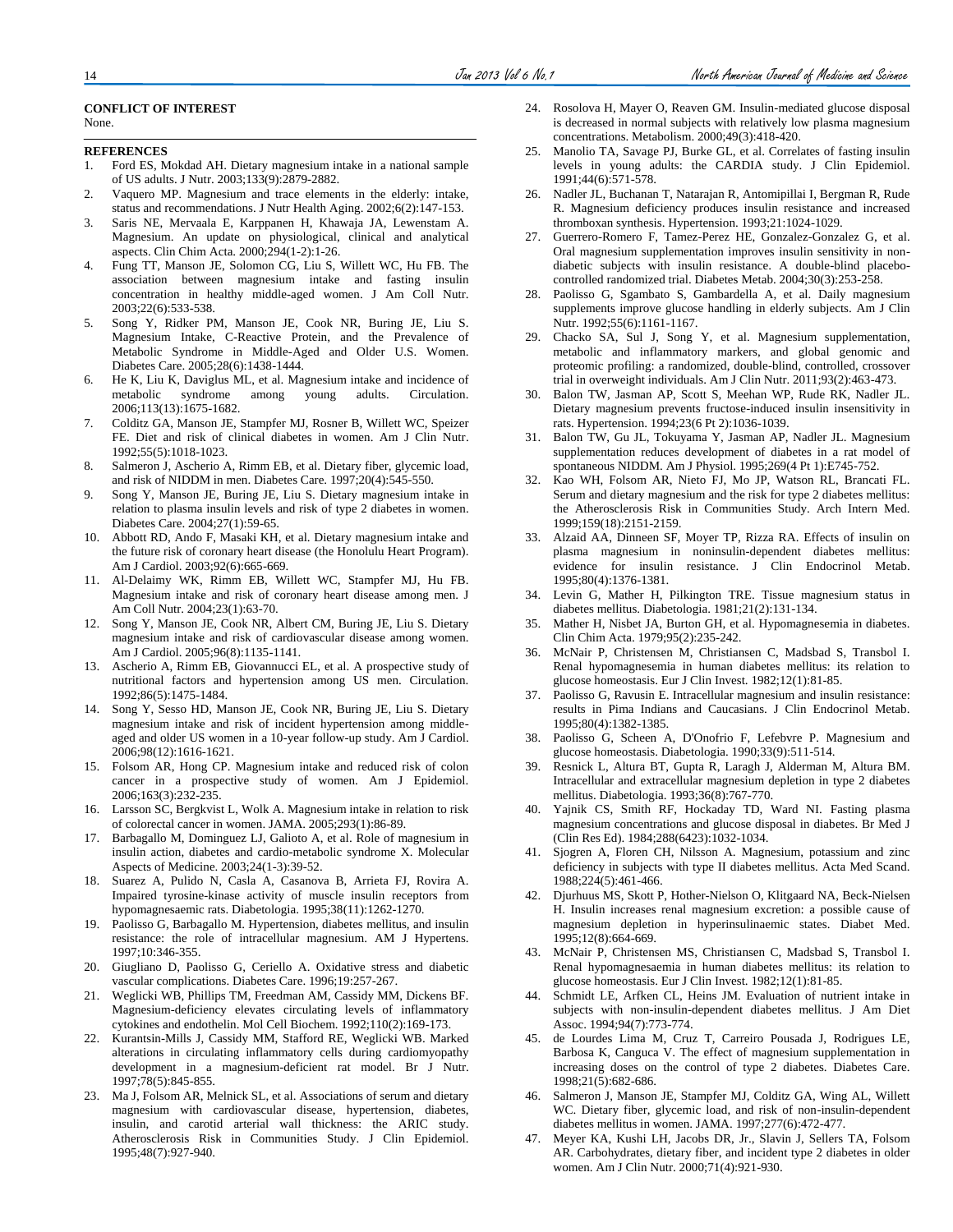#### **CONFLICT OF INTEREST** None.

#### **REFERENCES**

- <span id="page-5-0"></span>1. Ford ES, Mokdad AH. Dietary magnesium intake in a national sample of US adults. J Nutr. 2003;133(9):2879-2882.
- <span id="page-5-1"></span>2. Vaquero MP. Magnesium and trace elements in the elderly: intake, status and recommendations. J Nutr Health Aging. 2002;6(2):147-153.
- <span id="page-5-2"></span>3. Saris NE, Mervaala E, Karppanen H, Khawaja JA, Lewenstam A. Magnesium. An update on physiological, clinical and analytical aspects. Clin Chim Acta. 2000;294(1-2):1-26.
- <span id="page-5-3"></span>4. Fung TT, Manson JE, Solomon CG, Liu S, Willett WC, Hu FB. The association between magnesium intake and fasting insulin concentration in healthy middle-aged women. J Am Coll Nutr. 2003;22(6):533-538.
- <span id="page-5-4"></span>5. Song Y, Ridker PM, Manson JE, Cook NR, Buring JE, Liu S. Magnesium Intake, C-Reactive Protein, and the Prevalence of Metabolic Syndrome in Middle-Aged and Older U.S. Women. Diabetes Care. 2005;28(6):1438-1444.
- <span id="page-5-5"></span>6. He K, Liu K, Daviglus ML, et al. Magnesium intake and incidence of metabolic syndrome among young adults. Circulation. 2006;113(13):1675-1682.
- <span id="page-5-6"></span>7. Colditz GA, Manson JE, Stampfer MJ, Rosner B, Willett WC, Speizer FE. Diet and risk of clinical diabetes in women. Am J Clin Nutr. 1992;55(5):1018-1023.
- <span id="page-5-30"></span>8. Salmeron J, Ascherio A, Rimm EB, et al. Dietary fiber, glycemic load, and risk of NIDDM in men. Diabetes Care. 1997;20(4):545-550.
- <span id="page-5-20"></span>9. Song Y, Manson JE, Buring JE, Liu S. Dietary magnesium intake in relation to plasma insulin levels and risk of type 2 diabetes in women. Diabetes Care. 2004;27(1):59-65.
- <span id="page-5-7"></span>10. Abbott RD, Ando F, Masaki KH, et al. Dietary magnesium intake and the future risk of coronary heart disease (the Honolulu Heart Program). Am J Cardiol. 2003;92(6):665-669.
- 11. Al-Delaimy WK, Rimm EB, Willett WC, Stampfer MJ, Hu FB. Magnesium intake and risk of coronary heart disease among men. J Am Coll Nutr. 2004;23(1):63-70.
- 12. Song Y, Manson JE, Cook NR, Albert CM, Buring JE, Liu S. Dietary magnesium intake and risk of cardiovascular disease among women. Am J Cardiol. 2005;96(8):1135-1141.
- <span id="page-5-8"></span>13. Ascherio A, Rimm EB, Giovannucci EL, et al. A prospective study of nutritional factors and hypertension among US men. Circulation. 1992;86(5):1475-1484.
- <span id="page-5-9"></span>14. Song Y, Sesso HD, Manson JE, Cook NR, Buring JE, Liu S. Dietary magnesium intake and risk of incident hypertension among middleaged and older US women in a 10-year follow-up study. Am J Cardiol. 2006;98(12):1616-1621.
- <span id="page-5-10"></span>15. Folsom AR, Hong CP. Magnesium intake and reduced risk of colon cancer in a prospective study of women. Am J Epidemiol. 2006;163(3):232-235.
- <span id="page-5-11"></span>16. Larsson SC, Bergkvist L, Wolk A. Magnesium intake in relation to risk of colorectal cancer in women. JAMA. 2005;293(1):86-89.
- <span id="page-5-12"></span>17. Barbagallo M, Dominguez LJ, Galioto A, et al. Role of magnesium in insulin action, diabetes and cardio-metabolic syndrome X. Molecular Aspects of Medicine. 2003;24(1-3):39-52.
- <span id="page-5-13"></span>18. Suarez A, Pulido N, Casla A, Casanova B, Arrieta FJ, Rovira A. Impaired tyrosine-kinase activity of muscle insulin receptors from hypomagnesaemic rats. Diabetologia. 1995;38(11):1262-1270.
- <span id="page-5-14"></span>19. Paolisso G, Barbagallo M. Hypertension, diabetes mellitus, and insulin resistance: the role of intracellular magnesium. AM J Hypertens. 1997;10:346-355.
- <span id="page-5-15"></span>20. Giugliano D, Paolisso G, Ceriello A. Oxidative stress and diabetic vascular complications. Diabetes Care. 1996;19:257-267.
- <span id="page-5-16"></span>21. Weglicki WB, Phillips TM, Freedman AM, Cassidy MM, Dickens BF. Magnesium-deficiency elevates circulating levels of inflammatory cytokines and endothelin. Mol Cell Biochem. 1992;110(2):169-173.
- <span id="page-5-17"></span>22. Kurantsin-Mills J, Cassidy MM, Stafford RE, Weglicki WB. Marked alterations in circulating inflammatory cells during cardiomyopathy development in a magnesium-deficient rat model. Br J Nutr. 1997;78(5):845-855.
- <span id="page-5-18"></span>23. Ma J, Folsom AR, Melnick SL, et al. Associations of serum and dietary magnesium with cardiovascular disease, hypertension, diabetes, insulin, and carotid arterial wall thickness: the ARIC study. Atherosclerosis Risk in Communities Study. J Clin Epidemiol. 1995;48(7):927-940.
- <span id="page-5-19"></span>24. Rosolova H, Mayer O, Reaven GM. Insulin-mediated glucose disposal is decreased in normal subjects with relatively low plasma magnesium concentrations. Metabolism. 2000;49(3):418-420.
- <span id="page-5-21"></span>25. Manolio TA, Savage PJ, Burke GL, et al. Correlates of fasting insulin levels in young adults: the CARDIA study. J Clin Epidemiol. 1991;44(6):571-578.
- <span id="page-5-22"></span>26. Nadler JL, Buchanan T, Natarajan R, Antomipillai I, Bergman R, Rude R. Magnesium deficiency produces insulin resistance and increased thromboxan synthesis. Hypertension. 1993;21:1024-1029.
- <span id="page-5-23"></span>27. Guerrero-Romero F, Tamez-Perez HE, Gonzalez-Gonzalez G, et al. Oral magnesium supplementation improves insulin sensitivity in nondiabetic subjects with insulin resistance. A double-blind placebocontrolled randomized trial. Diabetes Metab. 2004;30(3):253-258.
- <span id="page-5-24"></span>28. Paolisso G, Sgambato S, Gambardella A, et al. Daily magnesium supplements improve glucose handling in elderly subjects. Am J Clin Nutr. 1992;55(6):1161-1167.
- <span id="page-5-25"></span>29. Chacko SA, Sul J, Song Y, et al. Magnesium supplementation, metabolic and inflammatory markers, and global genomic and proteomic profiling: a randomized, double-blind, controlled, crossover trial in overweight individuals. Am J Clin Nutr. 2011;93(2):463-473.
- <span id="page-5-26"></span>30. Balon TW, Jasman AP, Scott S, Meehan WP, Rude RK, Nadler JL. Dietary magnesium prevents fructose-induced insulin insensitivity in rats. Hypertension. 1994;23(6 Pt 2):1036-1039.
- <span id="page-5-27"></span>31. Balon TW, Gu JL, Tokuyama Y, Jasman AP, Nadler JL. Magnesium supplementation reduces development of diabetes in a rat model of spontaneous NIDDM. Am J Physiol. 1995;269(4 Pt 1):E745-752.
- <span id="page-5-28"></span>32. Kao WH, Folsom AR, Nieto FJ, Mo JP, Watson RL, Brancati FL. Serum and dietary magnesium and the risk for type 2 diabetes mellitus: the Atherosclerosis Risk in Communities Study. Arch Intern Med. 1999;159(18):2151-2159.
- <span id="page-5-32"></span>33. Alzaid AA, Dinneen SF, Moyer TP, Rizza RA. Effects of insulin on plasma magnesium in noninsulin-dependent diabetes mellitus: evidence for insulin resistance. J Clin Endocrinol Metab. 1995;80(4):1376-1381.
- 34. Levin G, Mather H, Pilkington TRE. Tissue magnesium status in diabetes mellitus. Diabetologia. 1981;21(2):131-134.
- <span id="page-5-33"></span>35. Mather H, Nisbet JA, Burton GH, et al. Hypomagnesemia in diabetes. Clin Chim Acta. 1979;95(2):235-242.
- 36. McNair P, Christensen M, Christiansen C, Madsbad S, Transbol I. Renal hypomagnesemia in human diabetes mellitus: its relation to glucose homeostasis. Eur J Clin Invest. 1982;12(1):81-85.
- 37. Paolisso G, Ravusin E. Intracellular magnesium and insulin resistance: results in Pima Indians and Caucasians. J Clin Endocrinol Metab. 1995;80(4):1382-1385.
- 38. Paolisso G, Scheen A, D'Onofrio F, Lefebvre P. Magnesium and glucose homeostasis. Diabetologia. 1990;33(9):511-514.
- <span id="page-5-34"></span>39. Resnick L, Altura BT, Gupta R, Laragh J, Alderman M, Altura BM. Intracellular and extracellular magnesium depletion in type 2 diabetes mellitus. Diabetologia. 1993;36(8):767-770.
- Yajnik CS, Smith RF, Hockaday TD, Ward NI. Fasting plasma magnesium concentrations and glucose disposal in diabetes. Br Med J (Clin Res Ed). 1984;288(6423):1032-1034.
- <span id="page-5-35"></span>41. Sjogren A, Floren CH, Nilsson A. Magnesium, potassium and zinc deficiency in subjects with type II diabetes mellitus. Acta Med Scand. 1988;224(5):461-466.
- <span id="page-5-36"></span>42. Djurhuus MS, Skott P, Hother-Nielson O, Klitgaard NA, Beck-Nielsen H. Insulin increases renal magnesium excretion: a possible cause of magnesium depletion in hyperinsulinaemic states. Diabet Med. 1995;12(8):664-669.
- <span id="page-5-37"></span>43. McNair P, Christensen MS, Christiansen C, Madsbad S, Transbol I. Renal hypomagnesaemia in human diabetes mellitus: its relation to glucose homeostasis. Eur J Clin Invest. 1982;12(1):81-85.
- <span id="page-5-38"></span>44. Schmidt LE, Arfken CL, Heins JM. Evaluation of nutrient intake in subjects with non-insulin-dependent diabetes mellitus. J Am Diet Assoc. 1994;94(7):773-774.
- <span id="page-5-39"></span>45. de Lourdes Lima M, Cruz T, Carreiro Pousada J, Rodrigues LE, Barbosa K, Canguca V. The effect of magnesium supplementation in increasing doses on the control of type 2 diabetes. Diabetes Care. 1998;21(5):682-686.
- <span id="page-5-29"></span>Salmeron J, Manson JE, Stampfer MJ, Colditz GA, Wing AL, Willett WC. Dietary fiber, glycemic load, and risk of non-insulin-dependent diabetes mellitus in women. JAMA. 1997;277(6):472-477.
- <span id="page-5-31"></span>47. Meyer KA, Kushi LH, Jacobs DR, Jr., Slavin J, Sellers TA, Folsom AR. Carbohydrates, dietary fiber, and incident type 2 diabetes in older women. Am J Clin Nutr. 2000;71(4):921-930.